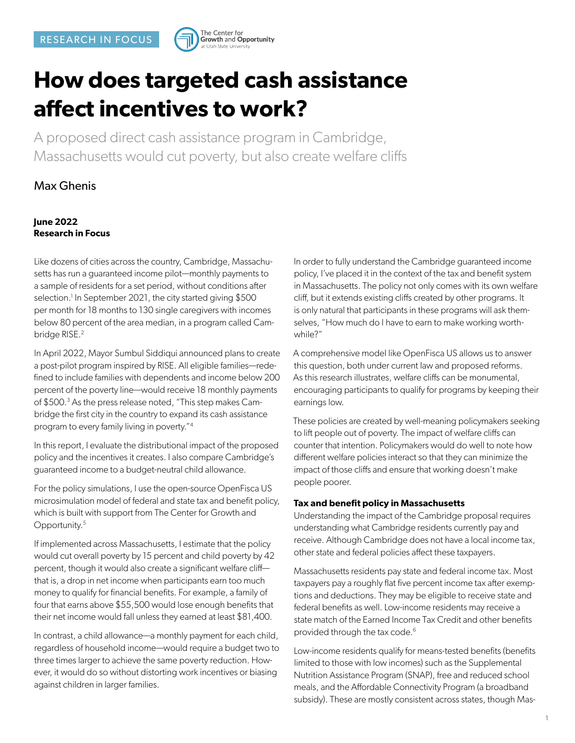

# **How does targeted cash assistance affect incentives to work?**

A proposed direct cash assistance program in Cambridge, Massachusetts would cut poverty, but also create welfare cliffs

## Max Ghenis

## **June 2022 Research in Focus**

Like dozens of cities across the country, Cambridge, Massachusetts has run a guaranteed income pilot—monthly payments to a sample of residents for a set period, without conditions after selection.<sup>1</sup> In September 2021, the city started giving \$500 per month for 18 months to 130 single caregivers with incomes below 80 percent of the area median, in a program called Cambridge RISE.<sup>2</sup>

In April 2022, Mayor Sumbul Siddiqui announced plans to create a post-pilot program inspired by RISE. All eligible families—redefined to include families with dependents and income below 200 percent of the poverty line—would receive 18 monthly payments of \$500.<sup>3</sup> As the press release noted, "This step makes Cambridge the first city in the country to expand its cash assistance program to every family living in poverty."4

In this report, I evaluate the distributional impact of the proposed policy and the incentives it creates. I also compare Cambridge's guaranteed income to a budget-neutral child allowance.

For the policy simulations, I use the open-source OpenFisca US microsimulation model of federal and state tax and benefit policy, which is built with support from The Center for Growth and Opportunity.5

If implemented across Massachusetts, I estimate that the policy would cut overall poverty by 15 percent and child poverty by 42 percent, though it would also create a significant welfare cliff that is, a drop in net income when participants earn too much money to qualify for financial benefits. For example, a family of four that earns above \$55,500 would lose enough benefits that their net income would fall unless they earned at least \$81,400.

In contrast, a child allowance—a monthly payment for each child, regardless of household income—would require a budget two to three times larger to achieve the same poverty reduction. However, it would do so without distorting work incentives or biasing against children in larger families.

In order to fully understand the Cambridge guaranteed income policy, I've placed it in the context of the tax and benefit system in Massachusetts. The policy not only comes with its own welfare cliff, but it extends existing cliffs created by other programs. It is only natural that participants in these programs will ask themselves, "How much do I have to earn to make working worthwhile?"

A comprehensive model like OpenFisca US allows us to answer this question, both under current law and proposed reforms. As this research illustrates, welfare cliffs can be monumental, encouraging participants to qualify for programs by keeping their earnings low.

These policies are created by well-meaning policymakers seeking to lift people out of poverty. The impact of welfare cliffs can counter that intention. Policymakers would do well to note how different welfare policies interact so that they can minimize the impact of those cliffs and ensure that working doesn't make people poorer.

## **Tax and benefit policy in Massachusetts**

Understanding the impact of the Cambridge proposal requires understanding what Cambridge residents currently pay and receive. Although Cambridge does not have a local income tax, other state and federal policies affect these taxpayers.

Massachusetts residents pay state and federal income tax. Most taxpayers pay a roughly flat five percent income tax after exemptions and deductions. They may be eligible to receive state and federal benefits as well. Low-income residents may receive a state match of the Earned Income Tax Credit and other benefits provided through the tax code.<sup>6</sup>

Low-income residents qualify for means-tested benefits (benefits limited to those with low incomes) such as the Supplemental Nutrition Assistance Program (SNAP), free and reduced school meals, and the Affordable Connectivity Program (a broadband subsidy). These are mostly consistent across states, though Mas-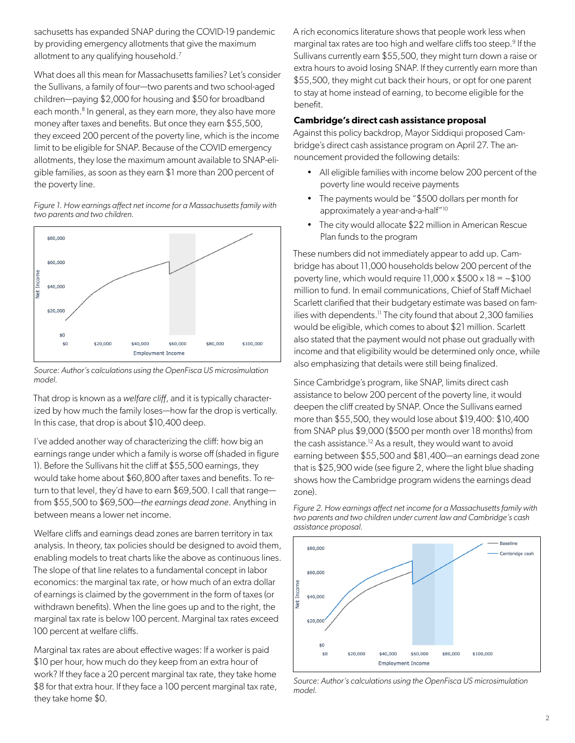sachusetts has expanded SNAP during the COVID-19 pandemic by providing emergency allotments that give the maximum allotment to any qualifying household.<sup>7</sup>

What does all this mean for Massachusetts families? Let's consider the Sullivans, a family of four—two parents and two school-aged children—paying \$2,000 for housing and \$50 for broadband each month.<sup>8</sup> In general, as they earn more, they also have more money after taxes and benefits. But once they earn \$55,500, they exceed 200 percent of the poverty line, which is the income limit to be eligible for SNAP. Because of the COVID emergency allotments, they lose the maximum amount available to SNAP-eligible families, as soon as they earn \$1 more than 200 percent of the poverty line.

*Figure 1. How earnings affect net income for a Massachusetts family with two parents and two children.* 



*Source: Author's calculations using the OpenFisca US microsimulation model.*

That drop is known as a *welfare cliff*, and it is typically characterized by how much the family loses—how far the drop is vertically. In this case, that drop is about \$10,400 deep.

I've added another way of characterizing the cliff: how big an earnings range under which a family is worse off (shaded in figure 1). Before the Sullivans hit the cliff at \$55,500 earnings, they would take home about \$60,800 after taxes and benefits. To return to that level, they'd have to earn \$69,500. I call that range from \$55,500 to \$69,500—*the earnings dead zone*. Anything in between means a lower net income.

Welfare cliffs and earnings dead zones are barren territory in tax analysis. In theory, tax policies should be designed to avoid them, enabling models to treat charts like the above as continuous lines. The slope of that line relates to a fundamental concept in labor economics: the marginal tax rate, or how much of an extra dollar of earnings is claimed by the government in the form of taxes (or withdrawn benefits). When the line goes up and to the right, the marginal tax rate is below 100 percent. Marginal tax rates exceed 100 percent at welfare cliffs.

Marginal tax rates are about effective wages: If a worker is paid \$10 per hour, how much do they keep from an extra hour of work? If they face a 20 percent marginal tax rate, they take home \$8 for that extra hour. If they face a 100 percent marginal tax rate, they take home \$0.

A rich economics literature shows that people work less when marginal tax rates are too high and welfare cliffs too steep.<sup>9</sup> If the Sullivans currently earn \$55,500, they might turn down a raise or extra hours to avoid losing SNAP. If they currently earn more than \$55,500, they might cut back their hours, or opt for one parent to stay at home instead of earning, to become eligible for the benefit.

#### **Cambridge's direct cash assistance proposal**

Against this policy backdrop, Mayor Siddiqui proposed Cambridge's direct cash assistance program on April 27. The announcement provided the following details:

- All eligible families with income below 200 percent of the poverty line would receive payments
- The payments would be "\$500 dollars per month for approximately a year-and-a-half"10
- The city would allocate \$22 million in American Rescue Plan funds to the program

These numbers did not immediately appear to add up. Cambridge has about 11,000 households below 200 percent of the poverty line, which would require  $11,000 \times $500 \times 18 = -\$100$ million to fund. In email communications, Chief of Staff Michael Scarlett clarified that their budgetary estimate was based on families with dependents.<sup>11</sup> The city found that about 2,300 families would be eligible, which comes to about \$21 million. Scarlett also stated that the payment would not phase out gradually with income and that eligibility would be determined only once, while also emphasizing that details were still being finalized.

Since Cambridge's program, like SNAP, limits direct cash assistance to below 200 percent of the poverty line, it would deepen the cliff created by SNAP. Once the Sullivans earned more than \$55,500, they would lose about \$19,400: \$10,400 from SNAP plus \$9,000 (\$500 per month over 18 months) from the cash assistance.<sup>12</sup> As a result, they would want to avoid earning between \$55,500 and \$81,400—an earnings dead zone that is \$25,900 wide (see figure 2, where the light blue shading shows how the Cambridge program widens the earnings dead zone).

*Figure 2. How earnings affect net income for a Massachusetts family with two parents and two children under current law and Cambridge's cash assistance proposal.* 



*Source: Author's calculations using the OpenFisca US microsimulation model.*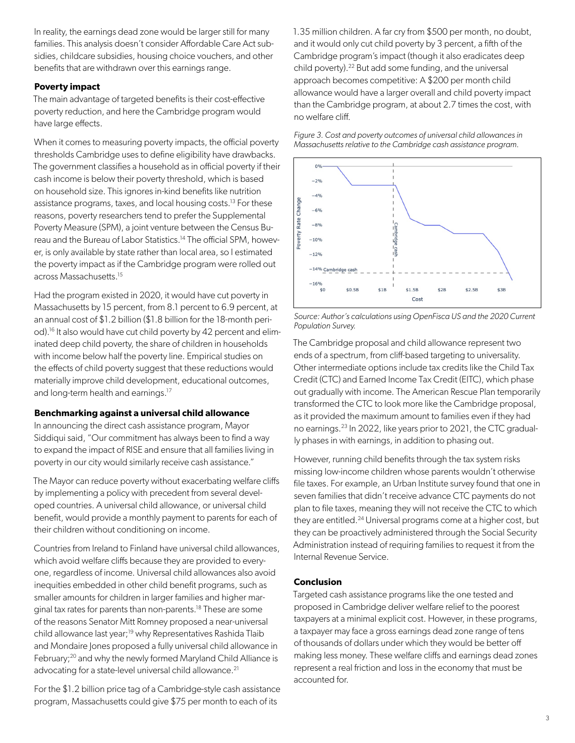In reality, the earnings dead zone would be larger still for many families. This analysis doesn't consider Affordable Care Act subsidies, childcare subsidies, housing choice vouchers, and other benefits that are withdrawn over this earnings range.

#### **Poverty impact**

The main advantage of targeted benefits is their cost-effective poverty reduction, and here the Cambridge program would have large effects.

When it comes to measuring poverty impacts, the official poverty thresholds Cambridge uses to define eligibility have drawbacks. The government classifies a household as in official poverty if their cash income is below their poverty threshold, which is based on household size. This ignores in-kind benefits like nutrition assistance programs, taxes, and local housing costs.<sup>13</sup> For these reasons, poverty researchers tend to prefer the Supplemental Poverty Measure (SPM), a joint venture between the Census Bureau and the Bureau of Labor Statistics.<sup>14</sup> The official SPM, however, is only available by state rather than local area, so I estimated the poverty impact as if the Cambridge program were rolled out across Massachusetts.15

Had the program existed in 2020, it would have cut poverty in Massachusetts by 15 percent, from 8.1 percent to 6.9 percent, at an annual cost of \$1.2 billion (\$1.8 billion for the 18-month period).<sup>16</sup> It also would have cut child poverty by 42 percent and eliminated deep child poverty, the share of children in households with income below half the poverty line. Empirical studies on the effects of child poverty suggest that these reductions would materially improve child development, educational outcomes, and long-term health and earnings.<sup>17</sup>

#### **Benchmarking against a universal child allowance**

In announcing the direct cash assistance program, Mayor Siddiqui said, "Our commitment has always been to find a way to expand the impact of RISE and ensure that all families living in poverty in our city would similarly receive cash assistance."

The Mayor can reduce poverty without exacerbating welfare cliffs by implementing a policy with precedent from several developed countries. A universal child allowance, or universal child benefit, would provide a monthly payment to parents for each of their children without conditioning on income.

Countries from Ireland to Finland have universal child allowances, which avoid welfare cliffs because they are provided to everyone, regardless of income. Universal child allowances also avoid inequities embedded in other child benefit programs, such as smaller amounts for children in larger families and higher marginal tax rates for parents than non-parents.18 These are some of the reasons Senator Mitt Romney proposed a near-universal child allowance last year;<sup>19</sup> why Representatives Rashida Tlaib and Mondaire Jones proposed a fully universal child allowance in February;<sup>20</sup> and why the newly formed Maryland Child Alliance is advocating for a state-level universal child allowance.<sup>21</sup>

For the \$1.2 billion price tag of a Cambridge-style cash assistance program, Massachusetts could give \$75 per month to each of its

1.35 million children. A far cry from \$500 per month, no doubt, and it would only cut child poverty by 3 percent, a fifth of the Cambridge program's impact (though it also eradicates deep child poverty).22 But add some funding, and the universal approach becomes competitive: A \$200 per month child allowance would have a larger overall and child poverty impact than the Cambridge program, at about 2.7 times the cost, with no welfare cliff.

*Figure 3. Cost and poverty outcomes of universal child allowances in Massachusetts relative to the Cambridge cash assistance program.*



*Source: Author's calculations using OpenFisca US and the 2020 Current Population Survey.*

The Cambridge proposal and child allowance represent two ends of a spectrum, from cliff-based targeting to universality. Other intermediate options include tax credits like the Child Tax Credit (CTC) and Earned Income Tax Credit (EITC), which phase out gradually with income. The American Rescue Plan temporarily transformed the CTC to look more like the Cambridge proposal, as it provided the maximum amount to families even if they had no earnings.23 In 2022, like years prior to 2021, the CTC gradually phases in with earnings, in addition to phasing out.

However, running child benefits through the tax system risks missing low-income children whose parents wouldn't otherwise file taxes. For example, an Urban Institute survey found that one in seven families that didn't receive advance CTC payments do not plan to file taxes, meaning they will not receive the CTC to which they are entitled.<sup>24</sup> Universal programs come at a higher cost, but they can be proactively administered through the Social Security Administration instead of requiring families to request it from the Internal Revenue Service.

## **Conclusion**

Targeted cash assistance programs like the one tested and proposed in Cambridge deliver welfare relief to the poorest taxpayers at a minimal explicit cost. However, in these programs, a taxpayer may face a gross earnings dead zone range of tens of thousands of dollars under which they would be better off making less money. These welfare cliffs and earnings dead zones represent a real friction and loss in the economy that must be accounted for.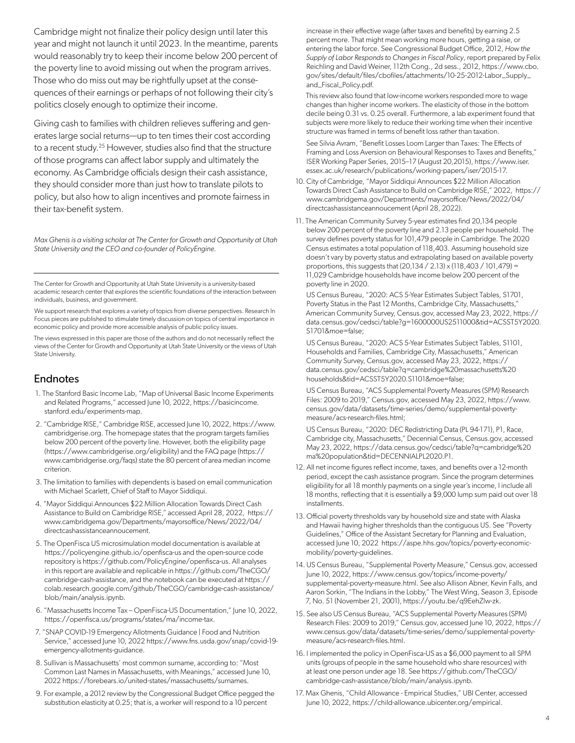Cambridge might not finalize their policy design until later this year and might not launch it until 2023. In the meantime, parents would reasonably try to keep their income below 200 percent of the poverty line to avoid missing out when the program arrives. Those who do miss out may be rightfully upset at the consequences of their earnings or perhaps of not following their city's politics closely enough to optimize their income.

Giving cash to families with children relieves suffering and generates large social returns—up to ten times their cost according to a recent study.25 However, studies also find that the structure of those programs can affect labor supply and ultimately the economy. As Cambridge officials design their cash assistance, they should consider more than just how to translate pilots to policy, but also how to align incentives and promote fairness in their tax-benefit system.

*Max Ghenis is a visiting scholar at The Center for Growth and Opportunity at Utah State University and the CEO and co-founder of PolicyEngine.*

The Center for Growth and Opportunity at Utah State University is a university-based academic research center that explores the scientific foundations of the interaction between individuals, business, and government.

We support research that explores a variety of topics from diverse perspectives. Research In Focus pieces are published to stimulate timely discussion on topics of central importance in economic policy and provide more accessible analysis of public policy issues.

The views expressed in this paper are those of the authors and do not necessarily reflect the views of the Center for Growth and Opportunity at Utah State University or the views of Utah State University.

## Endnotes

- 1. The Stanford Basic Income Lab, "Map of Universal Basic Income Experiments and Related Programs," accessed June 10, 2022, [https://basicincome.](https://basicincome.stanford.edu/experiments-map) [stanford.edu/experiments-map](https://basicincome.stanford.edu/experiments-map).
- 2. "Cambridge RISE," Cambridge RISE, accessed June 10, 2022, [https://www.](https://www.cambridgerise.org) [cambridgerise.org.](https://www.cambridgerise.org) The homepage states that the program targets families below 200 percent of the poverty line. However, both the eligibility page [\(https://www.cambridgerise.org/eligibility\)](https://www.cambridgerise.org/eligibility) and the FAQ page (https:// www.cambridgerise.org/faqs) state the 80 percent of area median income criterion.
- 3. The limitation to families with dependents is based on email communication with Michael Scarlett, Chief of Staff to Mayor Siddiqui.
- 4. "Mayor Siddiqui Announces \$22 Million Allocation Towards Direct Cash Assistance to Build on Cambridge RISE," accessed April 28, 2022, [https://](https://www.cambridgema.gov/Departments/mayorsoffice/News/2022/04/directcashassistanceannoucement) [www.cambridgema.gov/Departments/mayorsoffice/News/2022/04/](https://www.cambridgema.gov/Departments/mayorsoffice/News/2022/04/directcashassistanceannoucement) [directcashassistanceannoucement](https://www.cambridgema.gov/Departments/mayorsoffice/News/2022/04/directcashassistanceannoucement).
- 5. The OpenFisca US microsimulation model documentation is available at <https://policyengine.github.io/openfisca-us> and the open-source code repository is<https://github.com/PolicyEngine/openfisca-us>. All analyses in this report are available and replicable in [https://github.com/TheCGO/](https://github.com/TheCGO/cambridge-cash-assistance) [cambridge-cash-assistance](https://github.com/TheCGO/cambridge-cash-assistance), and the notebook can be executed at [https://](https://colab.research.google.com/github/TheCGO/cambridge-cash-assistance/blob/main/analysis.ipynb) [colab.research.google.com/github/TheCGO/cambridge-cash-assistance/](https://colab.research.google.com/github/TheCGO/cambridge-cash-assistance/blob/main/analysis.ipynb) [blob/main/analysis.ipynb](https://colab.research.google.com/github/TheCGO/cambridge-cash-assistance/blob/main/analysis.ipynb).
- 6. "Massachusetts Income Tax OpenFisca-US Documentation," June 10, 2022, [https://openfisca.us/programs/states/ma/income-tax.](https://openfisca.us/programs/states/ma/income-tax)
- 7. "SNAP COVID-19 Emergency Allotments Guidance | Food and Nutrition Service," accessed June 10, 2022 [https://www.fns.usda.gov/snap/covid-19](https://www.fns.usda.gov/snap/covid-19-emergency-allotments-guidance) [emergency-allotments-guidance.](https://www.fns.usda.gov/snap/covid-19-emergency-allotments-guidance)
- 8. Sullivan is Massachusetts' most common surname, according to: "Most Common Last Names in Massachusetts, with Meanings," accessed June 10, 2022 [https://forebears.io/united-states/massachusetts/surnames.](https://forebears.io/united-states/massachusetts/surnames)
- 9. For example, a 2012 review by the Congressional Budget Office pegged the substitution elasticity at 0.25; that is, a worker will respond to a 10 percent

increase in their effective wage (after taxes and benefits) by earning 2.5 percent more. That might mean working more hours, getting a raise, or entering the labor force. See Congressional Budget Office, 2012, *How the Supply of Labor Responds to Changes in Fiscal Policy*, report prepared by Felix Reichling and David Weiner, 112th Cong., 2d sess., 2012, [https://www.cbo.](https://www.cbo.gov/sites/default/files/cbofiles/attachments/10-25-2012-Labor_Supply_and_Fiscal_Policy.pdf) [gov/sites/default/files/cbofiles/attachments/10-25-2012-Labor\\_Supply\\_](https://www.cbo.gov/sites/default/files/cbofiles/attachments/10-25-2012-Labor_Supply_and_Fiscal_Policy.pdf) [and\\_Fiscal\\_Policy.pdf.](https://www.cbo.gov/sites/default/files/cbofiles/attachments/10-25-2012-Labor_Supply_and_Fiscal_Policy.pdf)

This review also found that low-income workers responded more to wage changes than higher income workers. The elasticity of those in the bottom decile being 0.31 vs. 0.25 overall. Furthermore, a lab experiment found that subjects were more likely to reduce their working time when their incentive structure was framed in terms of benefit loss rather than taxation.

See Silvia Avram, "Benefit Losses Loom Larger than Taxes: The Effects of Framing and Loss Aversion on Behavioural Responses to Taxes and Benefits," ISER Working Paper Series, 2015–17 (August 20,2015), [https://www.iser.](https://www.iser.essex.ac.uk/research/publications/working-papers/iser/2015-17) [essex.ac.uk/research/publications/working-papers/iser/2015-17.](https://www.iser.essex.ac.uk/research/publications/working-papers/iser/2015-17)

- 10. City of Cambridge, "Mayor Siddiqui Announces \$22 Million Allocation Towards Direct Cash Assistance to Build on Cambridge RISE," 2022, https:// www.cambridgema.gov/Departments/mayorsoffice/News/2022/04/ directcashassistanceannoucement (April 28, 2022).
- 11. The American Community Survey 5-year estimates find 20,134 people below 200 percent of the poverty line and 2.13 people per household. The survey defines poverty status for 101,479 people in Cambridge. The 2020 Census estimates a total population of 118,403. Assuming household size doesn't vary by poverty status and extrapolating based on available poverty proportions, this suggests that (20,134 / 2.13) x (118,403 / 101,479) = 11,029 Cambridge households have income below 200 percent of the poverty line in 2020.

US Census Bureau, "2020: ACS 5-Year Estimates Subject Tables, S1701, Poverty Status in the Past 12 Months, Cambridge City, Massachusetts," American Community Survey, Census.gov, accessed May 23, 2022, [https://](https://data.census.gov/cedsci/table?g=1600000US2511000&tid=ACSST5Y2020.S1701&moe=false) [data.census.gov/cedsci/table?g=1600000US2511000&tid=ACSST5Y2020.](https://data.census.gov/cedsci/table?g=1600000US2511000&tid=ACSST5Y2020.S1701&moe=false) [S1701&moe=false](https://data.census.gov/cedsci/table?g=1600000US2511000&tid=ACSST5Y2020.S1701&moe=false);

US Census Bureau, "2020: ACS 5-Year Estimates Subject Tables, S1101, Households and Families, Cambridge City, Massachusetts," American Community Survey, Census.gov, accessed May 23, 2022, https:// data.census.gov/cedsci/table?q=cambridge%20massachusetts%20 households&tid=ACSST5Y2020.S1101&moe=false;

US Census Bureau, "ACS Supplemental Poverty Measures (SPM) Research Files: 2009 to 2019," Census.gov, accessed May 23, 2022, [https://www.](https://www.census.gov/data/datasets/time-series/demo/supplemental-poverty-measure/acs-research-files.html) [census.gov/data/datasets/time-series/demo/supplemental-poverty](https://www.census.gov/data/datasets/time-series/demo/supplemental-poverty-measure/acs-research-files.html)[measure/acs-research-files.html;](https://www.census.gov/data/datasets/time-series/demo/supplemental-poverty-measure/acs-research-files.html)

US Census Bureau, "2020: DEC Redistricting Data (PL 94-171), P1, Race, Cambridge city, Massachusetts," Decennial Census, Census.gov, accessed May 23, 2022, [https://data.census.gov/cedsci/table?q=cambridge%20](https://data.census.gov/cedsci/table?q=cambridge%2520ma%2520population&tid=DECENNIALPL2020.P1) [ma%20population&tid=DECENNIALPL2020.P1.](https://data.census.gov/cedsci/table?q=cambridge%2520ma%2520population&tid=DECENNIALPL2020.P1)

- 12. All net income figures reflect income, taxes, and benefits over a 12-month period, except the cash assistance program. Since the program determines eligibility for all 18 monthly payments on a single year's income, I include all 18 months, reflecting that it is essentially a \$9,000 lump sum paid out over 18 **installments**
- 13. Official poverty thresholds vary by household size and state with Alaska and Hawaii having higher thresholds than the contiguous US. See "Poverty Guidelines," Office of the Assistant Secretary for Planning and Evaluation, accessed June 10, 2022 [https://aspe.hhs.gov/topics/poverty-economic](https://aspe.hhs.gov/topics/poverty-economic-mobility/poverty-guidelines)[mobility/poverty-guidelines.](https://aspe.hhs.gov/topics/poverty-economic-mobility/poverty-guidelines)
- 14. US Census Bureau, "Supplemental Poverty Measure," Census.gov, accessed June 10, 2022, [https://www.census.gov/topics/income-poverty/](https://www.census.gov/topics/income-poverty/supplemental-poverty-measure.html) [supplemental-poverty-measure.html.](https://www.census.gov/topics/income-poverty/supplemental-poverty-measure.html) See also Allison Abner, Kevin Falls, and Aaron Sorkin, "The Indians in the Lobby," The West Wing, Season 3, Episode 7, No. 51 (November 21, 2001), [https://youtu.be/q9EehZlw-zk.](https://youtu.be/q9EehZlw-zk)
- 15. See also US Census Bureau, "ACS Supplemental Poverty Measures (SPM) Research Files: 2009 to 2019," Census.gov, accessed June 10, 2022, [https://](https://www.census.gov/data/datasets/time-series/demo/supplemental-poverty-measure/acs-research-files.html) [www.census.gov/data/datasets/time-series/demo/supplemental-poverty](https://www.census.gov/data/datasets/time-series/demo/supplemental-poverty-measure/acs-research-files.html)[measure/acs-research-files.html.](https://www.census.gov/data/datasets/time-series/demo/supplemental-poverty-measure/acs-research-files.html)
- 16. I implemented the policy in OpenFisca-US as a \$6,000 payment to all SPM units (groups of people in the same household who share resources) with at least one person under age 18. See [https://github.com/TheCGO/](https://github.com/TheCGO/cambridge-cash-assistance/blob/main/analysis.ipynb) [cambridge-cash-assistance/blob/main/analysis.ipynb](https://github.com/TheCGO/cambridge-cash-assistance/blob/main/analysis.ipynb).
- 17. Max Ghenis, "Child Allowance Empirical Studies," UBI Center, accessed June 10, 2022, <https://child-allowance.ubicenter.org/empirical>.